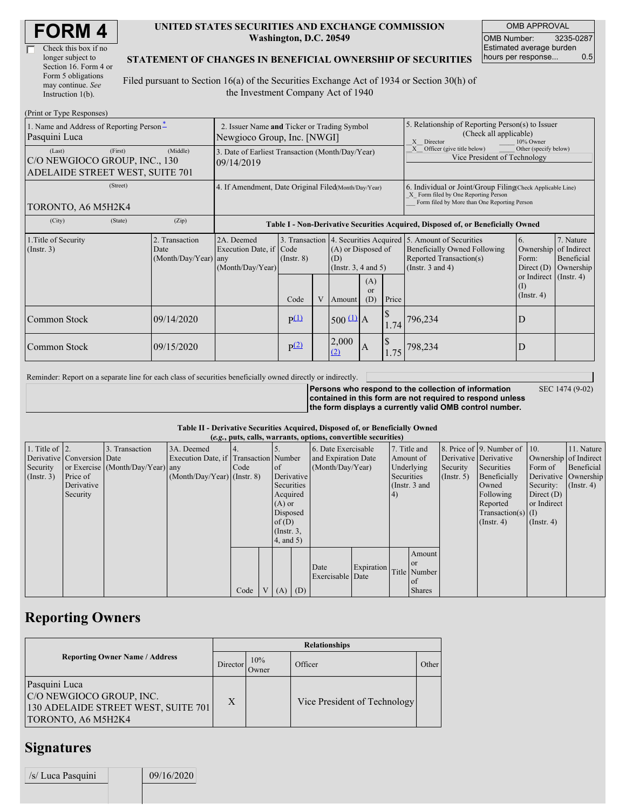| <b>FORM4</b> |
|--------------|
|--------------|

| Check this box if no  |  |
|-----------------------|--|
| longer subject to     |  |
| Section 16. Form 4 or |  |
| Form 5 obligations    |  |
| may continue. See     |  |
| Instruction 1(b).     |  |

#### **UNITED STATES SECURITIES AND EXCHANGE COMMISSION Washington, D.C. 20549**

OMB APPROVAL OMB Number: 3235-0287 Estimated average burden hours per response... 0.5

SEC 1474 (9-02)

### **STATEMENT OF CHANGES IN BENEFICIAL OWNERSHIP OF SECURITIES**

Filed pursuant to Section 16(a) of the Securities Exchange Act of 1934 or Section 30(h) of the Investment Company Act of 1940

| (Print or Type Responses)                                                             |                                                                            |                                                |                                                                                  |                                   |  |                                                       |                                                                                                                                                    |       |                                                                                                                                    |                                                         |                                                     |
|---------------------------------------------------------------------------------------|----------------------------------------------------------------------------|------------------------------------------------|----------------------------------------------------------------------------------|-----------------------------------|--|-------------------------------------------------------|----------------------------------------------------------------------------------------------------------------------------------------------------|-------|------------------------------------------------------------------------------------------------------------------------------------|---------------------------------------------------------|-----------------------------------------------------|
| 1. Name and Address of Reporting Person-<br>Pasquini Luca                             | 2. Issuer Name and Ticker or Trading Symbol<br>Newgioco Group, Inc. [NWGI] |                                                |                                                                                  |                                   |  |                                                       | 5. Relationship of Reporting Person(s) to Issuer<br>(Check all applicable)<br>X Director<br>10% Owner                                              |       |                                                                                                                                    |                                                         |                                                     |
| (First)<br>(Last)<br>C/O NEWGIOCO GROUP, INC., 130<br>ADELAIDE STREET WEST, SUITE 701 | 3. Date of Earliest Transaction (Month/Day/Year)<br>09/14/2019             |                                                |                                                                                  |                                   |  |                                                       | Other (specify below)<br>Officer (give title below)<br>X<br>Vice President of Technology                                                           |       |                                                                                                                                    |                                                         |                                                     |
| (Street)<br>TORONTO, A6 M5H2K4                                                        | 4. If Amendment, Date Original Filed(Month/Day/Year)                       |                                                |                                                                                  |                                   |  |                                                       | 6. Individual or Joint/Group Filing Check Applicable Line)<br>X Form filed by One Reporting Person<br>Form filed by More than One Reporting Person |       |                                                                                                                                    |                                                         |                                                     |
| (City)                                                                                | (State)                                                                    | (Zip)                                          | Table I - Non-Derivative Securities Acquired, Disposed of, or Beneficially Owned |                                   |  |                                                       |                                                                                                                                                    |       |                                                                                                                                    |                                                         |                                                     |
| 1. Title of Security<br>(Insert. 3)                                                   |                                                                            | 2. Transaction<br>Date<br>(Month/Day/Year) any | 2A. Deemed<br>Execution Date, if Code<br>(Month/Day/Year)                        | 3. Transaction<br>$($ Instr. $8)$ |  | (A) or Disposed of<br>(D)<br>(Instr. $3, 4$ and $5$ ) |                                                                                                                                                    |       | 4. Securities Acquired 5. Amount of Securities<br>Beneficially Owned Following<br>Reported Transaction(s)<br>(Instr. $3$ and $4$ ) | 6.<br>Ownership<br>Form:<br>Direct $(D)$                | 7. Nature<br>of Indirect<br>Beneficial<br>Ownership |
|                                                                                       |                                                                            |                                                |                                                                                  | Code                              |  | Amount                                                | (A)<br>$\alpha$<br>(D)                                                                                                                             | Price |                                                                                                                                    | or Indirect $($ Instr. 4 $)$<br>(I)<br>$($ Instr. 4 $)$ |                                                     |
| Common Stock                                                                          |                                                                            | 09/14/2020                                     |                                                                                  | p(1)                              |  | $500 \frac{\text{(1)}}{\text{A}}$                     |                                                                                                                                                    | 1.74  | 796,234                                                                                                                            | D                                                       |                                                     |
| Common Stock                                                                          |                                                                            | 09/15/2020                                     |                                                                                  | p(2)                              |  | 2,000<br>(2)                                          | IA.                                                                                                                                                | 1.75  | 798,234                                                                                                                            | D                                                       |                                                     |

Reminder: Report on a separate line for each class of securities beneficially owned directly or indirectly.

**Persons who respond to the collection of information contained in this form are not required to respond unless the form displays a currently valid OMB control number.**

#### **Table II - Derivative Securities Acquired, Disposed of, or Beneficially Owned (***e.g.***, puts, calls, warrants, options, convertible securities)**

| $(0.5, 0.005, 0.005, 0.0005, 0.00005, 0.0000, 0.0000, 0.0000, 0.0000, 0.0000, 0.0000, 0.0000, 0.0000, 0.0000, 0.0000, 0.0000, 0.0000, 0.0000, 0.0000, 0.0000, 0.0000, 0.0000, 0.0000, 0.0000, 0.0000, 0.0000, 0.0000, 0.0000,$ |                            |                                  |                                       |      |                 |             |                  |                  |                     |     |                                |                       |                              |                       |                      |
|--------------------------------------------------------------------------------------------------------------------------------------------------------------------------------------------------------------------------------|----------------------------|----------------------------------|---------------------------------------|------|-----------------|-------------|------------------|------------------|---------------------|-----|--------------------------------|-----------------------|------------------------------|-----------------------|----------------------|
| 1. Title of $\vert$ 2.                                                                                                                                                                                                         |                            | 3. Transaction                   | 3A. Deemed                            |      |                 |             |                  |                  | 6. Date Exercisable |     | 7. Title and                   |                       | 8. Price of 9. Number of 10. |                       | 11. Nature           |
|                                                                                                                                                                                                                                | Derivative Conversion Date |                                  | Execution Date, if Transaction Number |      |                 |             |                  |                  | and Expiration Date |     | Amount of                      | Derivative Derivative |                              | Ownership of Indirect |                      |
| Security                                                                                                                                                                                                                       |                            | or Exercise (Month/Day/Year) any |                                       | Code |                 | $\circ$ f   | (Month/Day/Year) |                  |                     |     | Underlying                     | Security              | Securities                   | Form of               | Beneficial           |
| (Insert. 3)                                                                                                                                                                                                                    | Price of                   |                                  | $(Month/Day/Year)$ (Instr. 8)         |      |                 | Derivative  |                  |                  |                     |     | Securities<br>$($ Instr. 5 $)$ |                       | Beneficially                 |                       | Derivative Ownership |
|                                                                                                                                                                                                                                | Derivative                 |                                  |                                       |      |                 | Securities  |                  |                  |                     |     | (Instr. 3 and                  |                       | Owned                        | Security:             | $($ Instr. 4 $)$     |
|                                                                                                                                                                                                                                | Security                   |                                  |                                       |      |                 | Acquired    |                  |                  |                     | (4) |                                |                       | Following                    | Direct $(D)$          |                      |
|                                                                                                                                                                                                                                |                            |                                  |                                       |      |                 | $(A)$ or    |                  |                  |                     |     |                                | Reported              | or Indirect                  |                       |                      |
|                                                                                                                                                                                                                                |                            |                                  |                                       |      |                 | Disposed    |                  |                  |                     |     |                                |                       | $Transaction(s)$ (I)         |                       |                      |
|                                                                                                                                                                                                                                |                            |                                  |                                       |      |                 | of $(D)$    |                  |                  |                     |     |                                | $($ Instr. 4)         | $($ Instr. 4 $)$             |                       |                      |
|                                                                                                                                                                                                                                |                            |                                  |                                       |      |                 |             | $($ Instr. $3$ , |                  |                     |     |                                |                       |                              |                       |                      |
|                                                                                                                                                                                                                                |                            |                                  |                                       |      |                 | 4, and 5)   |                  |                  |                     |     |                                |                       |                              |                       |                      |
|                                                                                                                                                                                                                                |                            |                                  |                                       |      |                 |             |                  |                  |                     |     | Amount                         |                       |                              |                       |                      |
|                                                                                                                                                                                                                                |                            |                                  |                                       |      |                 |             |                  |                  |                     |     | l or                           |                       |                              |                       |                      |
|                                                                                                                                                                                                                                |                            |                                  |                                       |      |                 |             |                  | Date             | Expiration          |     | Title Number                   |                       |                              |                       |                      |
|                                                                                                                                                                                                                                |                            |                                  |                                       |      |                 |             |                  | Exercisable Date |                     |     | of of                          |                       |                              |                       |                      |
|                                                                                                                                                                                                                                |                            |                                  |                                       | Code | $V_{\parallel}$ | $(A)$ $(D)$ |                  |                  |                     |     | <b>Shares</b>                  |                       |                              |                       |                      |

## **Reporting Owners**

|                                                                                                        | <b>Relationships</b> |              |                              |       |  |  |  |  |
|--------------------------------------------------------------------------------------------------------|----------------------|--------------|------------------------------|-------|--|--|--|--|
| <b>Reporting Owner Name / Address</b>                                                                  | Director             | 10%<br>Owner | Officer                      | Other |  |  |  |  |
| Pasquini Luca<br>C/O NEWGIOCO GROUP, INC.<br>130 ADELAIDE STREET WEST, SUITE 701<br>TORONTO, A6 M5H2K4 | X                    |              | Vice President of Technology |       |  |  |  |  |

## **Signatures**

/s/ Luca Pasquini 09/16/2020